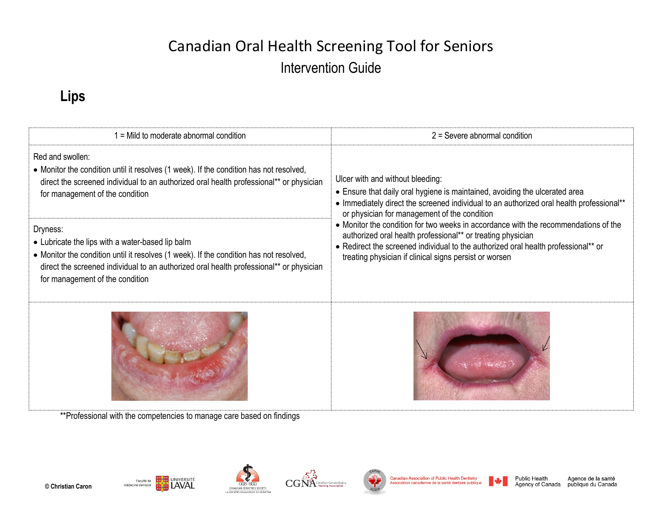# Canadian Oral Health Screening Tool for Seniors Intervention Guide

#### **Lips**

| = Mild to moderate abnormal condition                                                                                                                                                                                                                                                | $2 =$ Severe abnormal condition                                                                                                                                                                                                                                                                                                                                                                                                                                                                                                                                   |  |
|--------------------------------------------------------------------------------------------------------------------------------------------------------------------------------------------------------------------------------------------------------------------------------------|-------------------------------------------------------------------------------------------------------------------------------------------------------------------------------------------------------------------------------------------------------------------------------------------------------------------------------------------------------------------------------------------------------------------------------------------------------------------------------------------------------------------------------------------------------------------|--|
| Red and swollen:<br>• Monitor the condition until it resolves (1 week). If the condition has not resolved,<br>direct the screened individual to an authorized oral health professional** or physician<br>for management of the condition                                             | Ulcer with and without bleeding:<br>• Ensure that daily oral hygiene is maintained, avoiding the ulcerated area<br>• Immediately direct the screened individual to an authorized oral health professional**<br>or physician for management of the condition<br>• Monitor the condition for two weeks in accordance with the recommendations of the<br>authorized oral health professional** or treating physician<br>• Redirect the screened individual to the authorized oral health professional** or<br>treating physician if clinical signs persist or worsen |  |
| Dryness:<br>• Lubricate the lips with a water-based lip balm<br>• Monitor the condition until it resolves (1 week). If the condition has not resolved,<br>direct the screened individual to an authorized oral health professional** or physician<br>for management of the condition |                                                                                                                                                                                                                                                                                                                                                                                                                                                                                                                                                                   |  |
|                                                                                                                                                                                                                                                                                      |                                                                                                                                                                                                                                                                                                                                                                                                                                                                                                                                                                   |  |

\*\*Professional with the competencies to manage care based on findings

UNIVERSITÉ

CANADIAN GERIATRICS SOCIETY LA SOCIÉTÉ CANADIENNE DE GÉ

Faculté de

médecine dentaire

 $\mathbf{CG}\overset{\mathbb{Z}}{\textbf{N}}\overset{\mathbb{Z}}{\textbf{A}}$  Nursing Association



Agence de la santé publique du Canada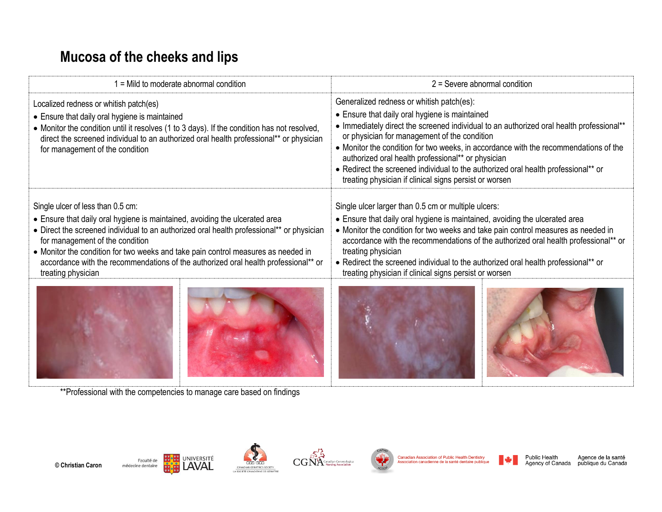### **Mucosa of the cheeks and lips**

| $1 =$ Mild to moderate abnormal condition                                                                                                                                                                                                                                                                                                                                                                                                          | $2 =$ Severe abnormal condition                                                                                                                                                                                                                                                                                                                                                                                                                                                                                                       |  |
|----------------------------------------------------------------------------------------------------------------------------------------------------------------------------------------------------------------------------------------------------------------------------------------------------------------------------------------------------------------------------------------------------------------------------------------------------|---------------------------------------------------------------------------------------------------------------------------------------------------------------------------------------------------------------------------------------------------------------------------------------------------------------------------------------------------------------------------------------------------------------------------------------------------------------------------------------------------------------------------------------|--|
| Localized redness or whitish patch(es)<br>• Ensure that daily oral hygiene is maintained<br>• Monitor the condition until it resolves (1 to 3 days). If the condition has not resolved,<br>direct the screened individual to an authorized oral health professional** or physician<br>for management of the condition                                                                                                                              | Generalized redness or whitish patch(es):<br>• Ensure that daily oral hygiene is maintained<br>• Immediately direct the screened individual to an authorized oral health professional**<br>or physician for management of the condition<br>• Monitor the condition for two weeks, in accordance with the recommendations of the<br>authorized oral health professional** or physician<br>• Redirect the screened individual to the authorized oral health professional** or<br>treating physician if clinical signs persist or worsen |  |
| Single ulcer of less than 0.5 cm:<br>• Ensure that daily oral hygiene is maintained, avoiding the ulcerated area<br>• Direct the screened individual to an authorized oral health professional** or physician<br>for management of the condition<br>• Monitor the condition for two weeks and take pain control measures as needed in<br>accordance with the recommendations of the authorized oral health professional** or<br>treating physician | Single ulcer larger than 0.5 cm or multiple ulcers:<br>• Ensure that daily oral hygiene is maintained, avoiding the ulcerated area<br>• Monitor the condition for two weeks and take pain control measures as needed in<br>accordance with the recommendations of the authorized oral health professional** or<br>treating physician<br>• Redirect the screened individual to the authorized oral health professional** or<br>treating physician if clinical signs persist or worsen                                                  |  |
|                                                                                                                                                                                                                                                                                                                                                                                                                                                    |                                                                                                                                                                                                                                                                                                                                                                                                                                                                                                                                       |  |

\*\*Professional with the competencies to manage care based on findings





**CGS** 







Canadian Association of Public Health Dentistry Association canadienne de la santé dentaire publique Public Health<br>Agency of Canada

Agence de la santé<br>publique du Canada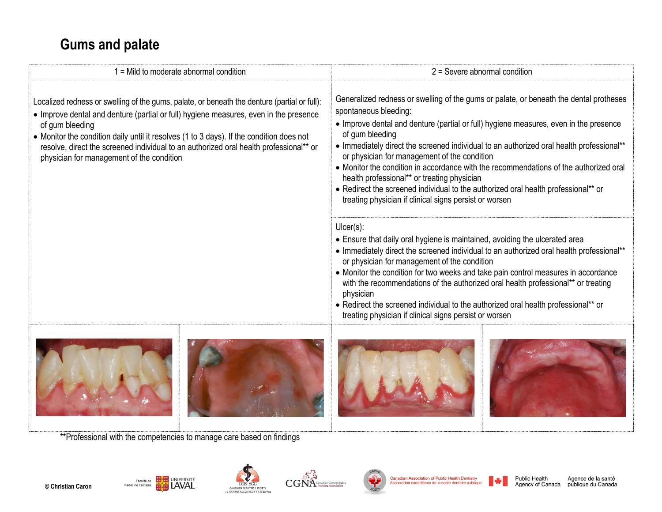#### **Gums and palate**

| $1 =$ Mild to moderate abnormal condition                                                                                                                                                                                                                                                                                                                                                                                                   | $2$ = Severe abnormal condition                                                                                                                                                                                                                                                                                                                                                                                                                                                                                                                                                                                                                                 |  |
|---------------------------------------------------------------------------------------------------------------------------------------------------------------------------------------------------------------------------------------------------------------------------------------------------------------------------------------------------------------------------------------------------------------------------------------------|-----------------------------------------------------------------------------------------------------------------------------------------------------------------------------------------------------------------------------------------------------------------------------------------------------------------------------------------------------------------------------------------------------------------------------------------------------------------------------------------------------------------------------------------------------------------------------------------------------------------------------------------------------------------|--|
| Localized redness or swelling of the gums, palate, or beneath the denture (partial or full):<br>• Improve dental and denture (partial or full) hygiene measures, even in the presence<br>of gum bleeding<br>• Monitor the condition daily until it resolves (1 to 3 days). If the condition does not<br>resolve, direct the screened individual to an authorized oral health professional** or<br>physician for management of the condition | Generalized redness or swelling of the gums or palate, or beneath the dental protheses<br>spontaneous bleeding:<br>• Improve dental and denture (partial or full) hygiene measures, even in the presence<br>of gum bleeding<br>• Immediately direct the screened individual to an authorized oral health professional**<br>or physician for management of the condition<br>• Monitor the condition in accordance with the recommendations of the authorized oral<br>health professional** or treating physician<br>• Redirect the screened individual to the authorized oral health professional** or<br>treating physician if clinical signs persist or worsen |  |
|                                                                                                                                                                                                                                                                                                                                                                                                                                             | $Uicer(s)$ :<br>• Ensure that daily oral hygiene is maintained, avoiding the ulcerated area<br>• Immediately direct the screened individual to an authorized oral health professional**<br>or physician for management of the condition<br>• Monitor the condition for two weeks and take pain control measures in accordance<br>with the recommendations of the authorized oral health professional** or treating<br>physician<br>• Redirect the screened individual to the authorized oral health professional** or<br>treating physician if clinical signs persist or worsen                                                                                 |  |
|                                                                                                                                                                                                                                                                                                                                                                                                                                             |                                                                                                                                                                                                                                                                                                                                                                                                                                                                                                                                                                                                                                                                 |  |





\*\*Professional with the competencies to manage care based on findings











Canadian Association of Public Health Dentistry<br>Association canadienne de la santé dentaire publique

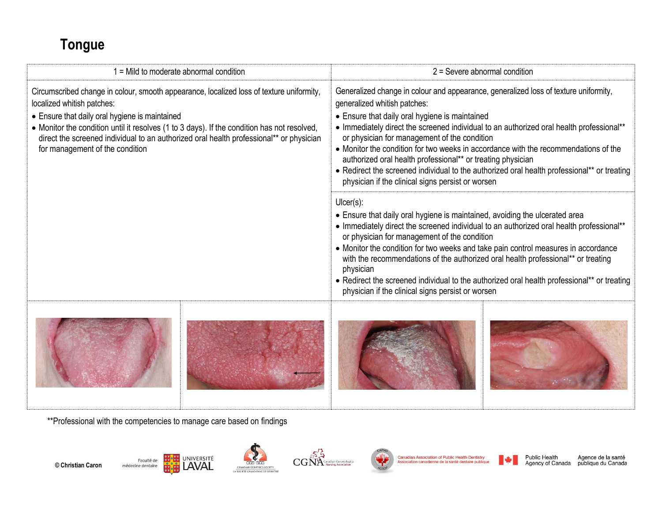## **Tongue**

| 1 = Mild to moderate abnormal condition                                                                                                                                                                                                                                                                                                                                                               |  | $2 =$ Severe abnormal condition                                                                                                                                                                                                                                                                                                                                                                                                                                                                                                                                                                                              |  |
|-------------------------------------------------------------------------------------------------------------------------------------------------------------------------------------------------------------------------------------------------------------------------------------------------------------------------------------------------------------------------------------------------------|--|------------------------------------------------------------------------------------------------------------------------------------------------------------------------------------------------------------------------------------------------------------------------------------------------------------------------------------------------------------------------------------------------------------------------------------------------------------------------------------------------------------------------------------------------------------------------------------------------------------------------------|--|
| Circumscribed change in colour, smooth appearance, localized loss of texture uniformity,<br>localized whitish patches:<br>• Ensure that daily oral hygiene is maintained<br>• Monitor the condition until it resolves (1 to 3 days). If the condition has not resolved,<br>direct the screened individual to an authorized oral health professional** or physician<br>for management of the condition |  | Generalized change in colour and appearance, generalized loss of texture uniformity,<br>generalized whitish patches:<br>• Ensure that daily oral hygiene is maintained<br>• Immediately direct the screened individual to an authorized oral health professional**<br>or physician for management of the condition<br>• Monitor the condition for two weeks in accordance with the recommendations of the<br>authorized oral health professional** or treating physician<br>• Redirect the screened individual to the authorized oral health professional** or treating<br>physician if the clinical signs persist or worsen |  |
|                                                                                                                                                                                                                                                                                                                                                                                                       |  | $Uicer(s)$ :<br>• Ensure that daily oral hygiene is maintained, avoiding the ulcerated area<br>• Immediately direct the screened individual to an authorized oral health professional**<br>or physician for management of the condition<br>• Monitor the condition for two weeks and take pain control measures in accordance<br>with the recommendations of the authorized oral health professional** or treating<br>physician<br>• Redirect the screened individual to the authorized oral health professional** or treating<br>physician if the clinical signs persist or worsen                                          |  |
|                                                                                                                                                                                                                                                                                                                                                                                                       |  |                                                                                                                                                                                                                                                                                                                                                                                                                                                                                                                                                                                                                              |  |

\*\*Professional with the competencies to manage care based on findings





**CGS** scc







Canadian Association of Public Health Dentistry<br>Association canadienne de la santé dentaire publique

**© Christian Caron**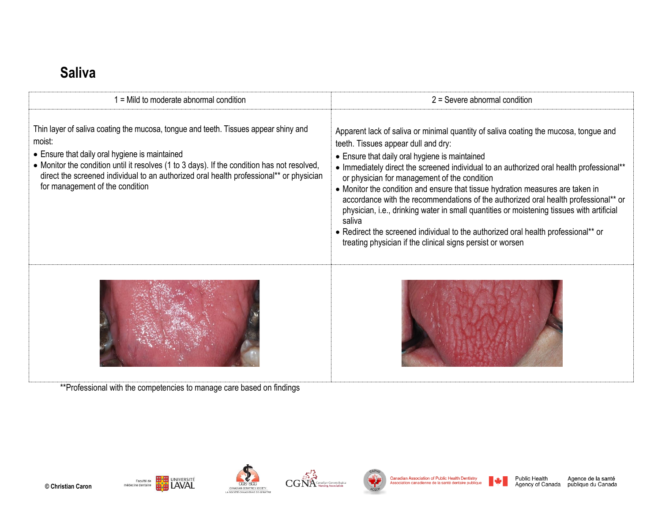#### **Saliva**

| = Mild to moderate abnormal condition                                                                                                                                                                                                                                                                                                                                        | $2 =$ Severe abnormal condition                                                                                                                                                                                                                                                                                                                                                                                                                                                                                                                                                                                                                                                                                                                               |  |
|------------------------------------------------------------------------------------------------------------------------------------------------------------------------------------------------------------------------------------------------------------------------------------------------------------------------------------------------------------------------------|---------------------------------------------------------------------------------------------------------------------------------------------------------------------------------------------------------------------------------------------------------------------------------------------------------------------------------------------------------------------------------------------------------------------------------------------------------------------------------------------------------------------------------------------------------------------------------------------------------------------------------------------------------------------------------------------------------------------------------------------------------------|--|
| Thin layer of saliva coating the mucosa, tongue and teeth. Tissues appear shiny and<br>moist:<br>• Ensure that daily oral hygiene is maintained<br>• Monitor the condition until it resolves (1 to 3 days). If the condition has not resolved,<br>direct the screened individual to an authorized oral health professional** or physician<br>for management of the condition | Apparent lack of saliva or minimal quantity of saliva coating the mucosa, tongue and<br>teeth. Tissues appear dull and dry:<br>• Ensure that daily oral hygiene is maintained<br>• Immediately direct the screened individual to an authorized oral health professional**<br>or physician for management of the condition<br>• Monitor the condition and ensure that tissue hydration measures are taken in<br>accordance with the recommendations of the authorized oral health professional** or<br>physician, i.e., drinking water in small quantities or moistening tissues with artificial<br>saliva<br>• Redirect the screened individual to the authorized oral health professional** or<br>treating physician if the clinical signs persist or worsen |  |
| **Professional with the competencies to manage care based on findings                                                                                                                                                                                                                                                                                                        |                                                                                                                                                                                                                                                                                                                                                                                                                                                                                                                                                                                                                                                                                                                                                               |  |









Canadian Association of Public Health Dentistry<br>Association canadienne de la santé dentaire publique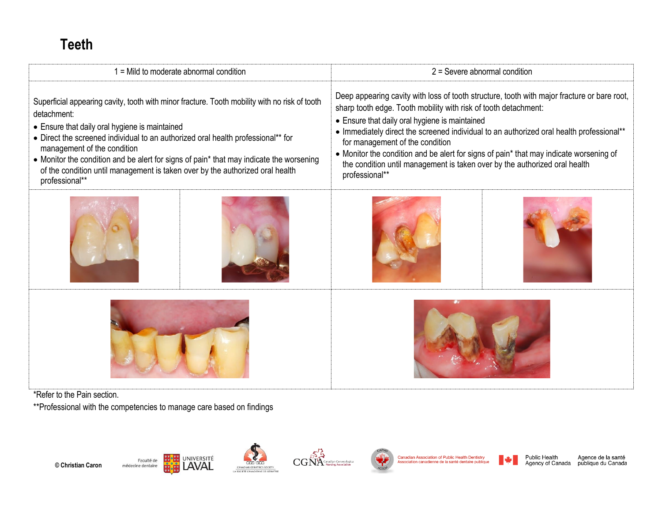### **Teeth**

| $1 =$ Mild to moderate abnormal condition                                                                                                                                                                                                                                                                                                                                                                                                                                       | $2$ = Severe abnormal condition                                                                                                                                                                                                                                                                                                                                                                                                                                                                                                           |  |
|---------------------------------------------------------------------------------------------------------------------------------------------------------------------------------------------------------------------------------------------------------------------------------------------------------------------------------------------------------------------------------------------------------------------------------------------------------------------------------|-------------------------------------------------------------------------------------------------------------------------------------------------------------------------------------------------------------------------------------------------------------------------------------------------------------------------------------------------------------------------------------------------------------------------------------------------------------------------------------------------------------------------------------------|--|
| Superficial appearing cavity, tooth with minor fracture. Tooth mobility with no risk of tooth<br>detachment:<br>• Ensure that daily oral hygiene is maintained<br>• Direct the screened individual to an authorized oral health professional** for<br>management of the condition<br>• Monitor the condition and be alert for signs of pain* that may indicate the worsening<br>of the condition until management is taken over by the authorized oral health<br>professional** | Deep appearing cavity with loss of tooth structure, tooth with major fracture or bare root,<br>sharp tooth edge. Tooth mobility with risk of tooth detachment:<br>• Ensure that daily oral hygiene is maintained<br>• Immediately direct the screened individual to an authorized oral health professional**<br>for management of the condition<br>• Monitor the condition and be alert for signs of pain* that may indicate worsening of<br>the condition until management is taken over by the authorized oral health<br>professional** |  |
|                                                                                                                                                                                                                                                                                                                                                                                                                                                                                 |                                                                                                                                                                                                                                                                                                                                                                                                                                                                                                                                           |  |
|                                                                                                                                                                                                                                                                                                                                                                                                                                                                                 |                                                                                                                                                                                                                                                                                                                                                                                                                                                                                                                                           |  |

\*Refer to the Pain section.

\*\*Professional with the competencies to manage care based on findings







CGS





Canadian Association of Public Health Dentistry<br>Association canadienne de la santé dentaire publique

■◆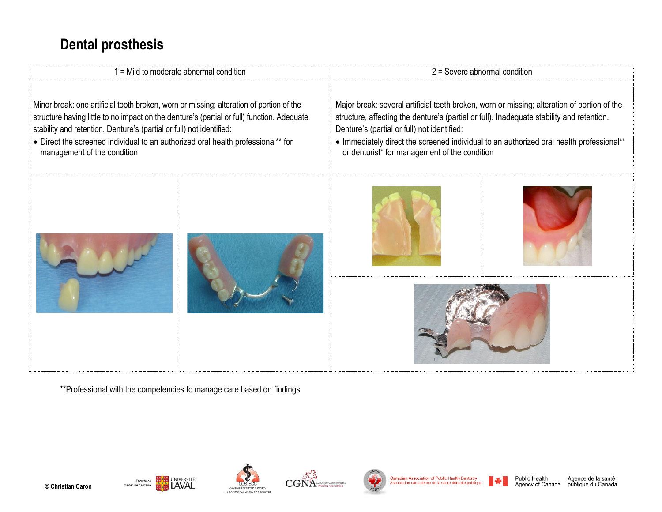#### **Dental prosthesis**



\*\*Professional with the competencies to manage care based on findings

UNIVERSITÉ

LAVAL

Faculté de

médecine dentaire







Canadian Association of Public Health Dentistry ssociation canadienne de la santé dentaire public



Agence de la santé Agency of Canada publique du Canada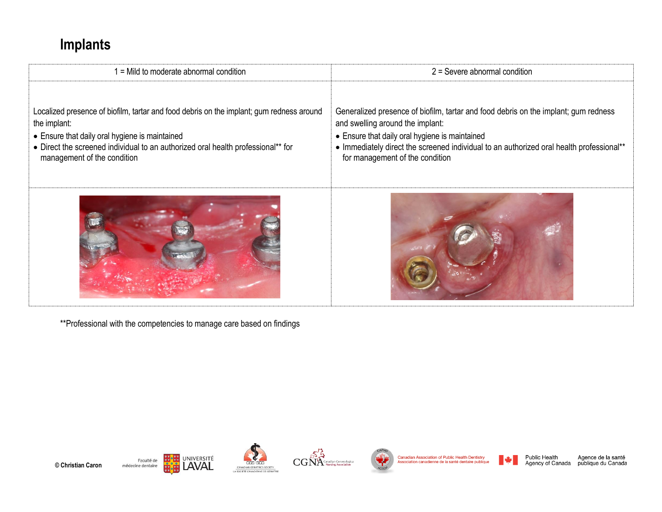## **Implants**

| = Mild to moderate abnormal condition                                                                                                                                                                                                                                         | $2 =$ Severe abnormal condition                                                                                                                                                                                                                                                                          |
|-------------------------------------------------------------------------------------------------------------------------------------------------------------------------------------------------------------------------------------------------------------------------------|----------------------------------------------------------------------------------------------------------------------------------------------------------------------------------------------------------------------------------------------------------------------------------------------------------|
| Localized presence of biofilm, tartar and food debris on the implant; gum redness around<br>the implant:<br>• Ensure that daily oral hygiene is maintained<br>• Direct the screened individual to an authorized oral health professional** for<br>management of the condition | Generalized presence of biofilm, tartar and food debris on the implant; gum redness<br>and swelling around the implant:<br>• Ensure that daily oral hygiene is maintained<br>• Immediately direct the screened individual to an authorized oral health professional**<br>for management of the condition |
|                                                                                                                                                                                                                                                                               |                                                                                                                                                                                                                                                                                                          |

\*\*Professional with the competencies to manage care based on findings











Canadian Association of Public Health Dentistry<br>Association canadienne de la santé dentaire publique

Public Health<br>Agency of Canada

Agence de la santé<br>publique du Canada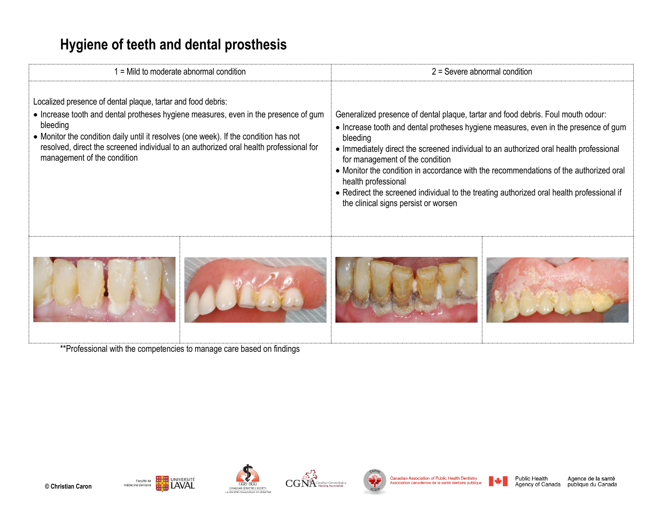### **Hygiene of teeth and dental prosthesis**

| $1 =$ Mild to moderate abnormal condition                                                                                                                                                                                                                                                                                                                                        |  | $2$ = Severe abnormal condition                                                                                                                                                                                                                                                                                                                                                                                                                                                                                                                                       |  |
|----------------------------------------------------------------------------------------------------------------------------------------------------------------------------------------------------------------------------------------------------------------------------------------------------------------------------------------------------------------------------------|--|-----------------------------------------------------------------------------------------------------------------------------------------------------------------------------------------------------------------------------------------------------------------------------------------------------------------------------------------------------------------------------------------------------------------------------------------------------------------------------------------------------------------------------------------------------------------------|--|
| Localized presence of dental plaque, tartar and food debris:<br>• Increase tooth and dental protheses hygiene measures, even in the presence of gum<br>bleeding<br>• Monitor the condition daily until it resolves (one week). If the condition has not<br>resolved, direct the screened individual to an authorized oral health professional for<br>management of the condition |  | Generalized presence of dental plaque, tartar and food debris. Foul mouth odour:<br>• Increase tooth and dental protheses hygiene measures, even in the presence of gum<br>bleeding<br>• Immediately direct the screened individual to an authorized oral health professional<br>for management of the condition<br>• Monitor the condition in accordance with the recommendations of the authorized oral<br>health professional<br>• Redirect the screened individual to the treating authorized oral health professional if<br>the clinical signs persist or worsen |  |
|                                                                                                                                                                                                                                                                                                                                                                                  |  |                                                                                                                                                                                                                                                                                                                                                                                                                                                                                                                                                                       |  |

\*\*Professional with the competencies to manage care based on findings









Canadian Association of Public Health Dentistry<br>Association canadienne de la santé dentaire publique



Public Health<br>Agency of Canada Agence de la santé<br>publique du Canada